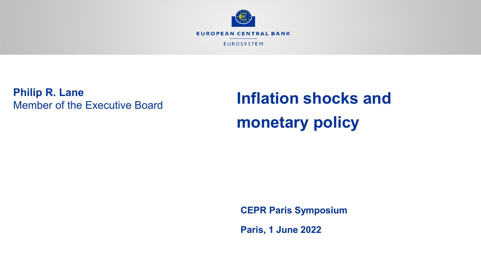

**Philip R. Lane** Member of the Executive Board

# **Inflation shocks and monetary policy**

**CEPR Paris Symposium**

**Paris, 1 June 2022**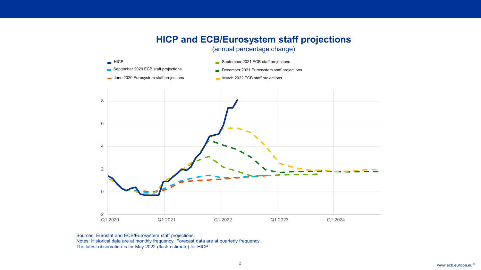### **HICP and ECB/Eurosystem staff projections**

#### (annual percentage change)



Sources: Eurostat and ECB/Eurosystem staff projections. Notes: Historical data are at monthly frequency. Forecast data are at quarterly frequency. The latest observation is for May 2022 (flash estimate) for HICP.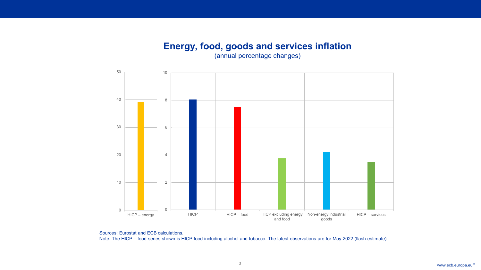### **Energy, food, goods and services inflation**

Rubric

(annual percentage changes)



Sources: Eurostat and ECB calculations. Note: The HICP – food series shown is HICP food including alcohol and tobacco. The latest observations are for May 2022 (flash estimate).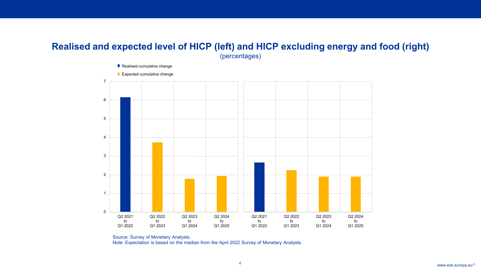### **Realised and expected level of HICP (left) and HICP excluding energy and food (right)** (percentages)



Source: Survey of Monetary Analysts. Note: Expectation is based on the median from the April 2022 Survey of Monetary Analysts.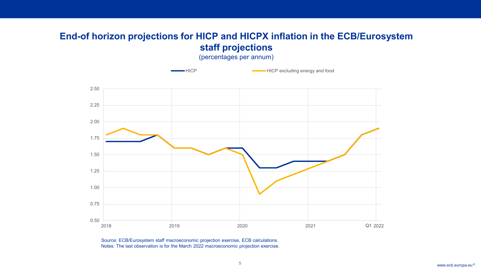### **End-of horizon projections for HICP and HICPX inflation in the ECB/Eurosystem staff projections**

(percentages per annum)



Source: ECB/Eurosystem staff macroeconomic projection exercise, ECB calculations. Notes: The last observation is for the March 2022 macroeconomic projection exercise.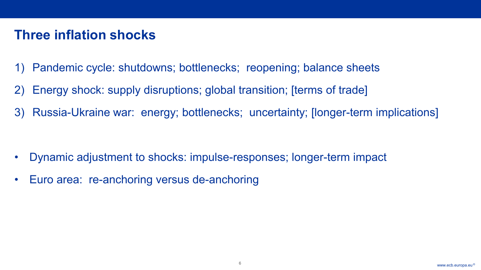# **Three inflation shocks**

- 1) Pandemic cycle: shutdowns; bottlenecks; reopening; balance sheets
- 2) Energy shock: supply disruptions; global transition; [terms of trade]
- 3) Russia-Ukraine war: energy; bottlenecks; uncertainty; [longer-term implications]

- Dynamic adjustment to shocks: impulse-responses; longer-term impact
- Euro area: re-anchoring versus de-anchoring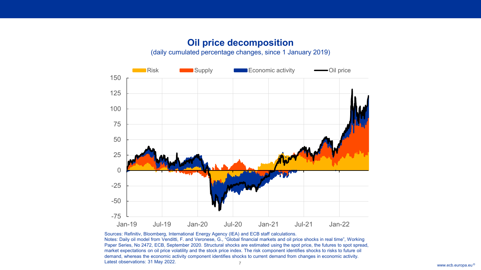### **Oil price decomposition** (daily cumulated percentage changes, since 1 January 2019)



Sources: Refinitiv, Bloomberg, International Energy Agency (IEA) and ECB staff calculations.

Rubric

www.ecb.europa.eu © Notes: Daily oil model from Venditti, F. and Veronese, G., "Global financial markets and oil price shocks in real time", Working Paper Series, No 2472, ECB, September 2020. Structural shocks are estimated using the spot price, the futures to spot spread, market expectations on oil price volatility and the stock price index. The risk component identifies shocks to risks to future oil demand, whereas the economic activity component identifies shocks to current demand from changes in economic activity. Latest observations: 31 May 2022.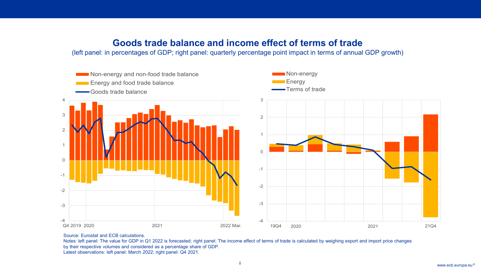### **Goods trade balance and income effect of terms of trade**

(left panel: in percentages of GDP; right panel: quarterly percentage point impact in terms of annual GDP growth)



#### Source: Eurostat and ECB calculations.

Rubric

Notes: left panel: The value for GDP in Q1 2022 is forecasted; right panel: The income effect of terms of trade is calculated by weighing export and import price changes by their respective volumes and considered as a percentage share of GDP. Latest observations: left panel: March 2022; right panel: Q4 2021.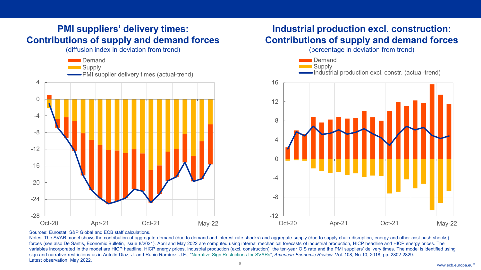### **PMI suppliers' delivery times: Contributions of supply and demand forces**

Rubric

(diffusion index in deviation from trend)



### **Industrial production excl. construction: Contributions of supply and demand forces**

(percentage in deviation from trend)



#### Sources: Eurostat, S&P Global and ECB staff calculations.

www.ecb.europa.eu 9 © Notes: The SVAR model shows the contribution of aggregate demand (due to demand and interest rate shocks) and aggregate supply (due to supply-chain disruption, energy and other cost-push shocks) forces (see also De Santis, Economic Bulletin, Issue 8/2021). April and May 2022 are computed using internal mechanical forecasts of industrial production. HICP headline and HICP energy prices. The variables incorporated in the model are HICP headline, HICP energy prices, industrial production (excl. construction), the ten-year OIS rate and the PMI suppliers' delivery times. The model is identified using sign and narrative restrictions as in Antolín-Díaz, J. and Rubio-Ramírez, J.F., "[Narrative Sign Restrictions for SVARs"](https://www.aeaweb.org/articles?id=10.1257/aer.20161852), American Economic Review, Vol. 108, No 10, 2018, pp. 2802-2829. Latest observation: May 2022.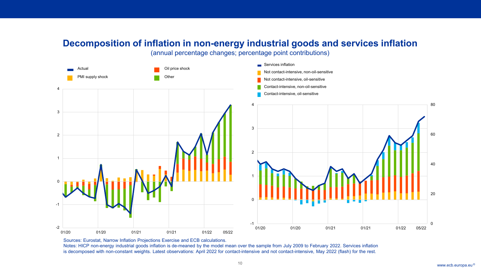### **Decomposition of inflation in non-energy industrial goods and services inflation**

(annual percentage changes; percentage point contributions)



Sources: Eurostat, Narrow Inflation Projections Exercise and ECB calculations.

Rubric

Notes: HICP non-energy industrial goods inflation is de-meaned by the model mean over the sample from July 2009 to February 2022. Services inflation is decomposed with non-constant weights. Latest observations: April 2022 for contact-intensive and not contact-intensive, May 2022 (flash) for the rest.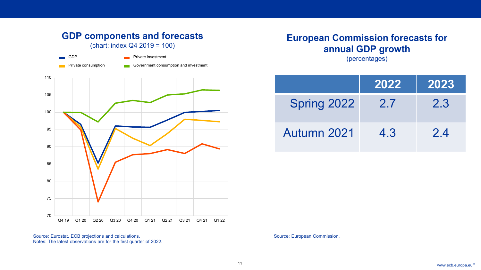### **GDP components and forecasts** (chart: index Q4 2019 = 100)

Rubric

| $\blacksquare$ GDP         | <b>Private investment</b>             |
|----------------------------|---------------------------------------|
| <b>Private consumption</b> | Government consumption and investment |



Source: Eurostat, ECB projections and calculations. Notes: The latest observations are for the first quarter of 2022.

## **European Commission forecasts for annual GDP growth**

(percentages)

|             | 2022 | 2023 |
|-------------|------|------|
| Spring 2022 | 2.7  | 2.3  |
| Autumn 2021 | 4.3  | 2.4  |

Source: European Commission.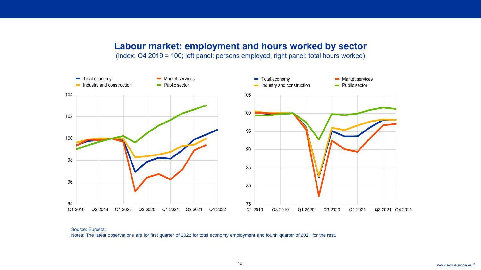### **Labour market: employment and hours worked by sector**

(index: Q4 2019 = 100; left panel: persons employed; right panel: total hours worked)



Source: Eurostat. Notes: The latest observations are for first quarter of 2022 for total economy employment and fourth quarter of 2021 for the rest.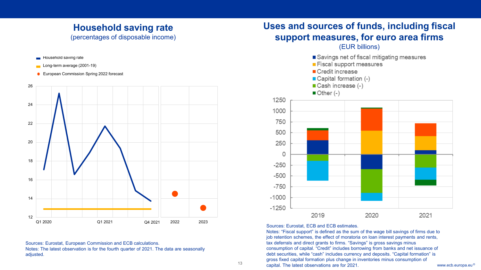## **Household saving rate**

Rubric

**Household saving rate** 

(percentages of disposable income)



Sources: Eurostat, European Commission and ECB calculations. Notes: The latest observation is for the fourth quarter of 2021. The data are seasonally adjusted.

### **Uses and sources of funds, including fiscal support measures, for euro area firms**



#### Sources: Eurostat, ECB and ECB estimates.

13 **Capital. The latest observations are for 2021.** Capital in the control of the capital. The latest observations are for 2021. Notes: "Fiscal support" is defined as the sum of the wage bill savings of firms due to job retention schemes, the effect of moratoria on loan interest payments and rents, tax deferrals and direct grants to firms. "Savings" is gross savings minus consumption of capital. "Credit" includes borrowing from banks and net issuance of debt securities, while "cash" includes currency and deposits. "Capital formation" is gross fixed capital formation plus change in inventories minus consumption of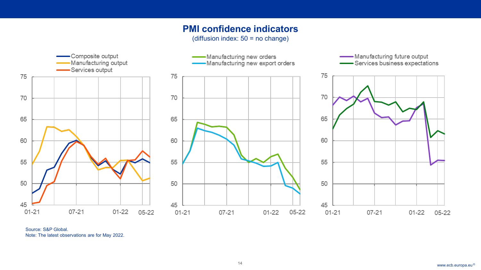### **PMI confidence indicators**

(diffusion index: 50 = no change)



Source: S&P Global. Note: The latest observations are for May 2022.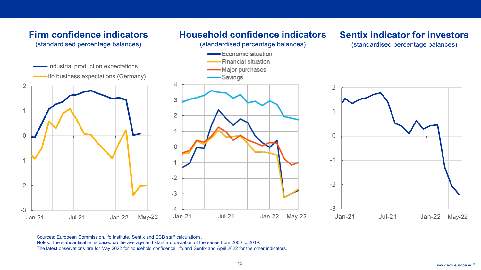

Sources: European Commission, ifo Institute, Sentix and ECB staff calculations. Notes: The standardisation is based on the average and standard deviation of the series from 2000 to 2019. The latest observations are for May 2022 for household confidence, ifo and Sentix and April 2022 for the other indicators.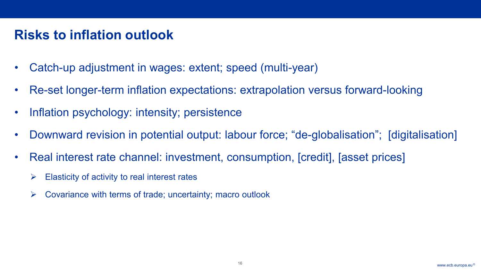## **Risks to inflation outlook**

- Catch-up adjustment in wages: extent; speed (multi-year)
- Re-set longer-term inflation expectations: extrapolation versus forward-looking
- Inflation psychology: intensity; persistence
- Downward revision in potential output: labour force; "de-globalisation"; [digitalisation]
- Real interest rate channel: investment, consumption, [credit], [asset prices]
	- $\triangleright$  Elasticity of activity to real interest rates
	- $\triangleright$  Covariance with terms of trade; uncertainty; macro outlook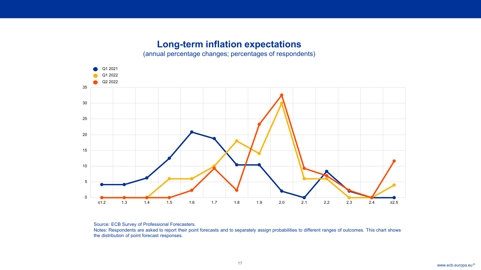### **Long-term inflation expectations**

(annual percentage changes; percentages of respondents)



Source: ECB Survey of Professional Forecasters.

Rubric

Notes: Respondents are asked to report their point forecasts and to separately assign probabilities to different ranges of outcomes. This chart shows the distribution of point forecast responses.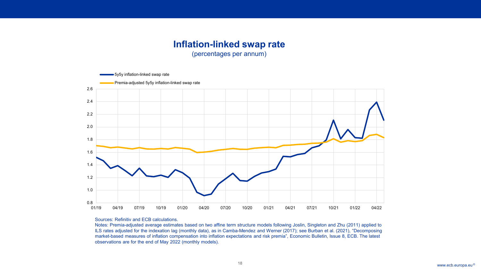### **Inflation-linked swap rate**

(percentages per annum)



#### Sources: Refinitiv and ECB calculations.

Rubric

Notes: Premia-adjusted average estimates based on two affine term structure models following Joslin, Singleton and Zhu (2011) applied to ILS rates adjusted for the indexation lag (monthly data), as in Camba-Mendez and Werner (2017); see Burban et al. (2021), "Decomposing market-based measures of inflation compensation into inflation expectations and risk premia", Economic Bulletin, Issue 8, ECB. The latest observations are for the end of May 2022 (monthly models).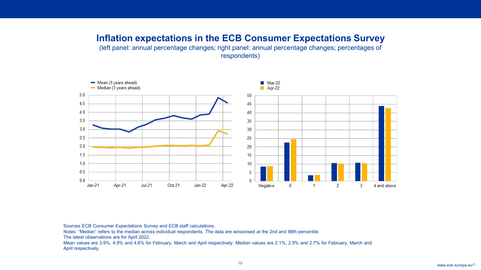### **Inflation expectations in the ECB Consumer Expectations Survey**

(left panel: annual percentage changes; right panel: annual percentage changes; percentages of respondents)



Sources ECB Consumer Expectations Survey and ECB staff calculations.

Notes: "Median" refers to the median across individual respondents. The data are winsorised at the 2nd and 98th percentile.

The latest observations are for April 2022.

Rubric

Mean values are 3.9%, 4.9% and 4.6% for February, March and April respectively. Median values are 2.1%, 2.9% and 2.7% for February, March and April respectively.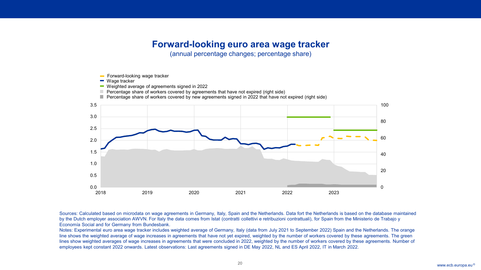### **Forward-looking euro area wage tracker**

Rubric

(annual percentage changes; percentage share)



Sources: Calculated based on microdata on wage agreements in Germany, Italy, Spain and the Netherlands. Data fort the Netherlands is based on the database maintained by the Dutch employer association AWVN. For Italy the data comes from Istat (contratti collettivi e retribuzioni contrattuali), for Spain from the Ministerio de Trabajo y Economía Social and for Germany from Bundesbank.

Notes: Experimental euro area wage tracker includes weighted average of Germany, Italy (data from July 2021 to September 2022) Spain and the Netherlands. The orange line shows the weighted average of wage increases in agreements that have not yet expired, weighted by the number of workers covered by these agreements. The green lines show weighted averages of wage increases in agreements that were concluded in 2022, weighted by the number of workers covered by these agreements. Number of employees kept constant 2022 onwards. Latest observations: Last agreements signed in DE May 2022, NL and ES April 2022, IT in March 2022.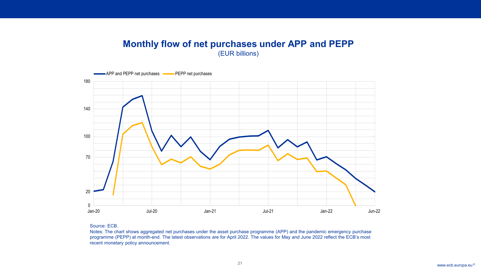### **Monthly flow of net purchases under APP and PEPP** (EUR billions)



#### Source: ECB.

Rubric

Notes: The chart shows aggregated net purchases under the asset purchase programme (APP) and the pandemic emergency purchase programme (PEPP) at month-end. The latest observations are for April 2022. The values for May and June 2022 reflect the ECB's most recent monetary policy announcement.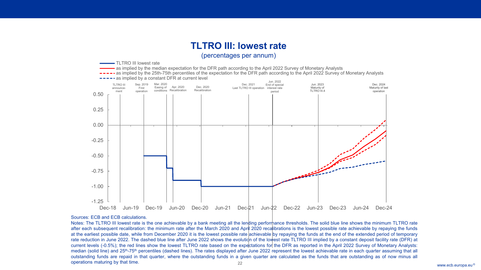### **TLTRO III: lowest rate**

#### (percentages per annum)



#### Sources: ECB and ECB calculations.

Rubric

www.ecb.europa.eu <sup>©</sup> Notes: The TLTRO III lowest rate is the one achievable by a bank meeting all the lending performance thresholds. The solid blue line shows the minimum TLTRO rate after each subsequent recalibration: the minimum rate after the March 2020 and April 2020 recalibrations is the lowest possible rate achievable by repaying the funds at the earliest possible date, while from December 2020 it is the lowest possible rate achievable by repaying the funds at the end of the extended period of temporary rate reduction in June 2022. The dashed blue line after June 2022 shows the evolution of the lowest rate TLTRO III implied by a constant deposit facility rate (DFR) at current levels (-0.5%); the red lines show the lowest TLTRO rate based on the expectations for the DFR as reported in the April 2022 Survey of Monetary Analysts: median (solid line) and 25<sup>th</sup>-75<sup>th</sup> percentiles (dashed lines). The rates displayed after June 2022 represent the lowest achievable rate in each quarter assuming that all outstanding funds are repaid in that quarter, where the outstanding funds in a given quarter are calculated as the funds that are outstanding as of now minus all operations maturing by that time.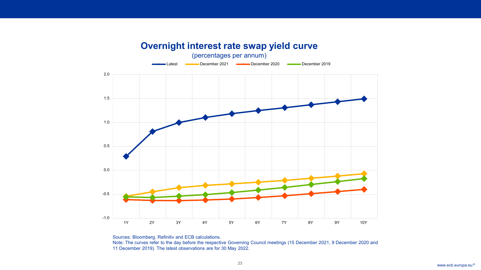# -1.0 -0.5 0.0 0.5 1.0 1.5 2.0 1Y 2Y 3Y 4Y 5Y 6Y 7Y 8Y 9Y 10Y Latest **Communist December 2021 Communist December 2020** December 2019 **Overnight interest rate swap yield curve** (percentages per annum)

Rubric

Sources: Bloomberg, Refinitiv and ECB calculations. Note: The curves refer to the day before the respective Governing Council meetings (15 December 2021, 9 December 2020 and 11 December 2019). The latest observations are for 30 May 2022.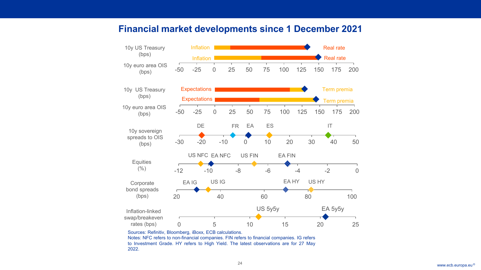### **Financial market developments since 1 December 2021**

Rubric



to Investment Grade. HY refers to High Yield. The latest observations are for 27 May 2022.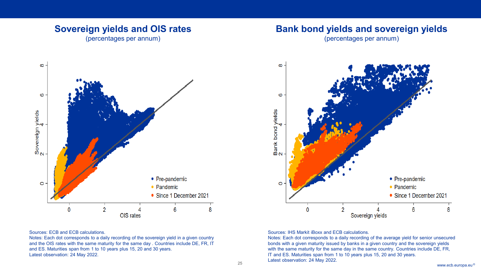### **Sovereign yields and OIS rates**

(percentages per annum)



### **Bank bond yields and sovereign yields**

(percentages per annum)



#### Sources: ECB and ECB calculations.

Rubric

Notes: Each dot corresponds to a daily recording of the sovereign yield in a given country and the OIS rates with the same maturity for the same day . Countries include DE, FR, IT and ES. Maturities span from 1 to 10 years plus 15, 20 and 30 years. Latest observation: 24 May 2022.

Sources: IHS Markit iBoxx and ECB calculations.

Editor Observation: 24 May 2022. Notes: Each dot corresponds to a daily recording of the average yield for senior unsecured bonds with a given maturity issued by banks in a given country and the sovereign yields with the same maturity for the same day in the same country. Countries include DE, FR, IT and ES. Maturities span from 1 to 10 years plus 15, 20 and 30 years. Latest observation: 24 May 2022.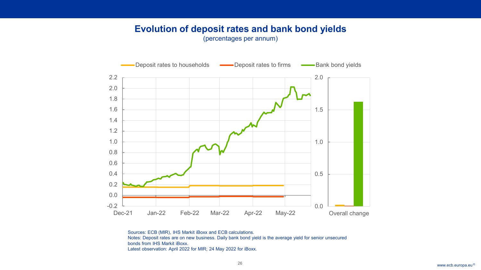### **Evolution of deposit rates and bank bond yields**

Rubric

(percentages per annum)



Sources: ECB (MIR), IHS Markit iBoxx and ECB calculations. Notes: Deposit rates are on new business. Daily bank bond yield is the average yield for senior unsecured bonds from IHS Markit iBoxx. Latest observation: April 2022 for MIR; 24 May 2022 for iBoxx.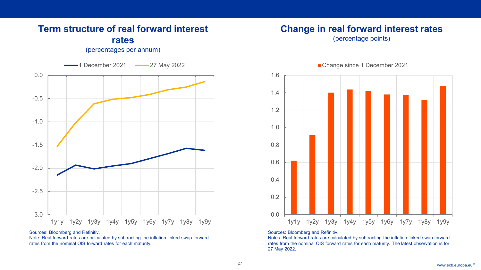# -3.0 -2.5 -2.0 -1.5 -1.0 -0.5 0.0 1y1y 1y2y 1y3y 1y4y 1y5y 1y6y 1y7y 1y8y 1y9y 1 December 2021 - 27 May 2022 **rates** (percentages per annum)

**Term structure of real forward interest** 

Sources: Bloomberg and Refinitiv.

Rubric

Note: Real forward rates are calculated by subtracting the inflation-linked swap forward rates from the nominal OIS forward rates for each maturity.

### **Change in real forward interest rates**

(percentage points)



#### Change since 1 December 2021

Sources: Bloomberg and Refinitiv.

Notes: Real forward rates are calculated by subtracting the inflation-linked swap forward rates from the nominal OIS forward rates for each maturity. The latest observation is for 27 May 2022.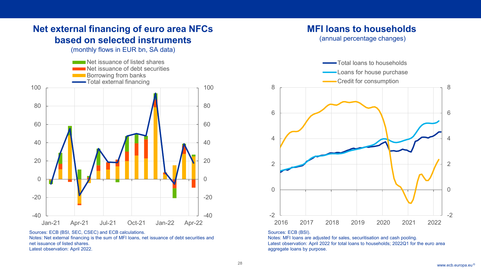### **Net external financing of euro area NFCs based on selected instruments**

Rubric

(monthly flows in EUR bn, SA data)



Sources: ECB (BSI, SEC, CSEC) and ECB calculations. Notes: Net external financing is the sum of MFI loans, net issuance of debt securities and net issuance of listed shares. Latest observation: April 2022.

### **MFI loans to households**

(annual percentage changes)



#### Sources: ECB (BSI).

Notes: MFI loans are adjusted for sales, securitisation and cash pooling. Latest observation: April 2022 for total loans to households; 2022Q1 for the euro area aggregate loans by purpose.